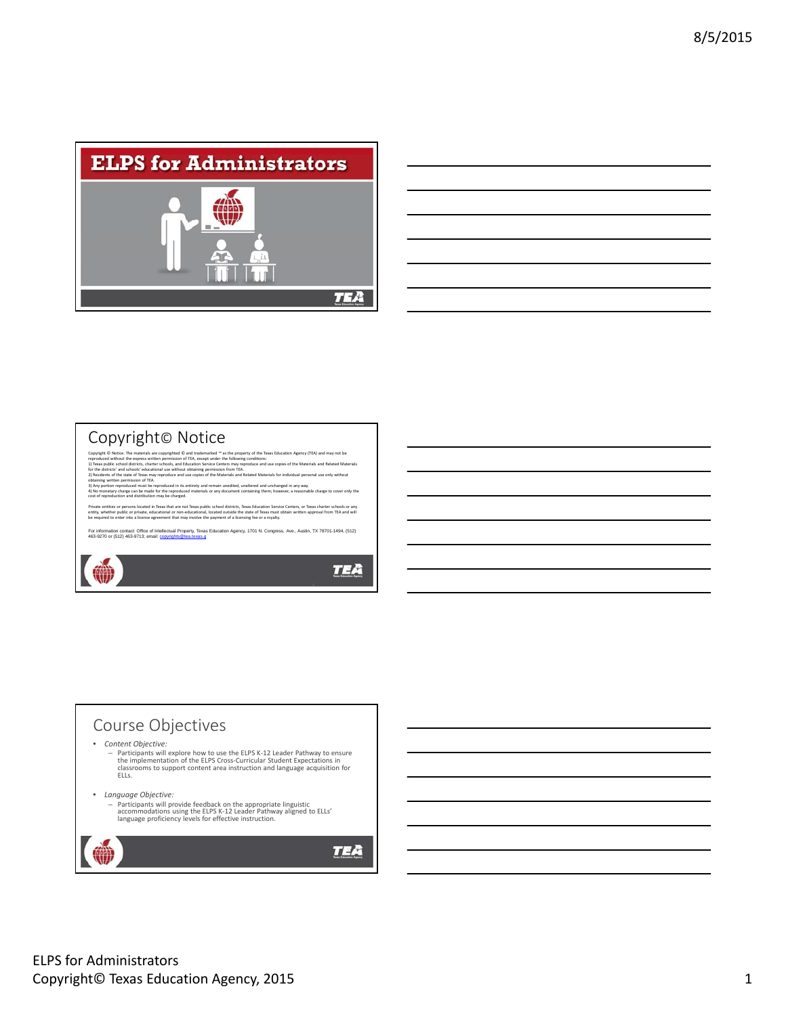

| <u> 1989 - Johann Harry Harry Harry Harry Harry Harry Harry Harry Harry Harry Harry Harry Harry Harry Harry Harry H</u> |  |  |
|-------------------------------------------------------------------------------------------------------------------------|--|--|
| ,我们也不会有什么?""我们的人,我们也不会有什么?""我们的人,我们也不会有什么?""我们的人,我们也不会有什么?""我们的人,我们也不会有什么?""我们的人                                        |  |  |
| <u> 1989 - Andrea Santa Andrea Andrea Andrea Andrea Andrea Andrea Andrea Andrea Andrea Andrea Andrea Andrea Andr</u>    |  |  |
|                                                                                                                         |  |  |
|                                                                                                                         |  |  |
|                                                                                                                         |  |  |
|                                                                                                                         |  |  |

### Copyright© Notice

 $\bullet$ 

Copyright © Notice. The materials are copyrighted © and trademarked ™ as the property of the Peas Education Agency (TEA) and may not be<br>reproduced without the experse witten permission of TEA, except under the following co

Private entities or persons located in Texas that are not Texas public school districts, Texas Education Service Centers, or Texas charter schools or any<br>entity, whether public or private, educational or non-educational, l

For information contact: Office of Intellectual Property, Texas Education Agency, 1701 N. Congress, Ave., Austin, TX 78701-1494, (512)<br>463-9270 or (512) 463-9713; email: copyrights@tea.texas.g

### **TEA**

2

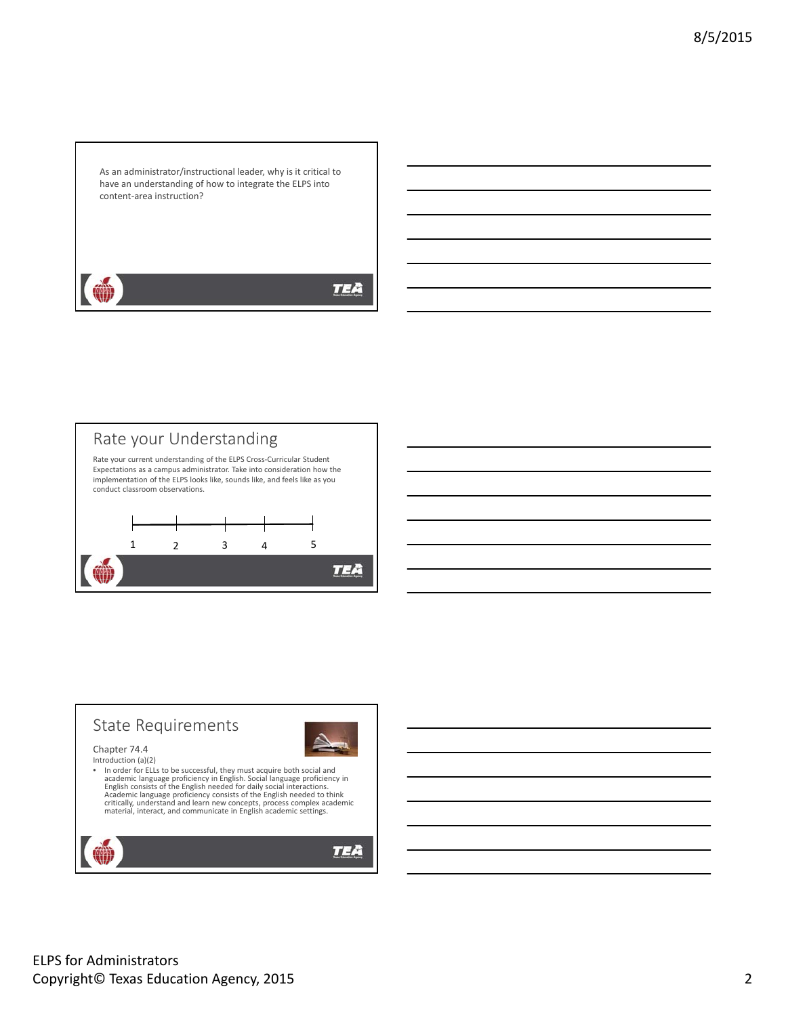As an administrator/instructional leader, why is it critical to have an understanding of how to integrate the ELPS into content‐area instruction?

**TEA** 



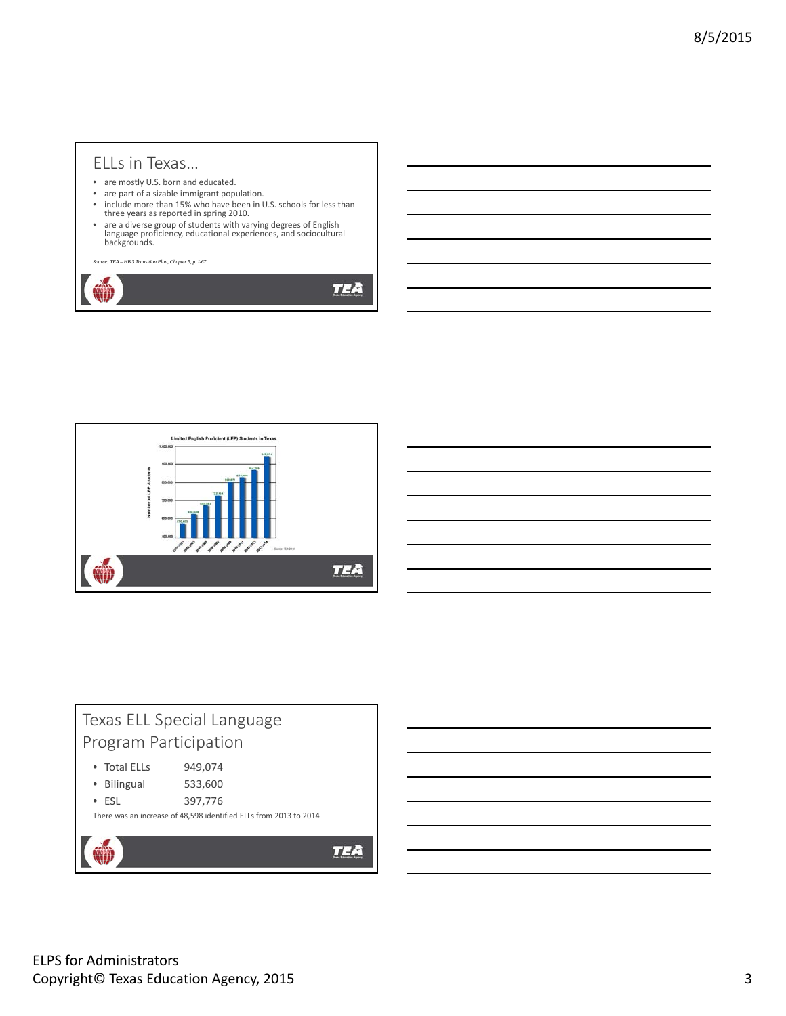### ELLs in Texas…

- are mostly U.S. born and educated.
- are part of a sizable immigrant population.
- include more than 15% who have been in U.S. schools for less than three years as reported in spring 2010.
- are a diverse group of students with varying degrees of English language proficiency, educational experiences, and sociocultural backgrounds.

*Source: TEA – HB 3 Transition Plan, Chapter 5, p. I-67* 

**TEA** 



| Texas ELL Special Language |                                                                   |  |  |  |  |  |
|----------------------------|-------------------------------------------------------------------|--|--|--|--|--|
| Program Participation      |                                                                   |  |  |  |  |  |
| • Total ELLs               | 949,074                                                           |  |  |  |  |  |
| Bilingual                  | 533,600                                                           |  |  |  |  |  |
| $-$ FSI                    | 397,776                                                           |  |  |  |  |  |
|                            | There was an increase of 48,598 identified ELLs from 2013 to 2014 |  |  |  |  |  |
|                            |                                                                   |  |  |  |  |  |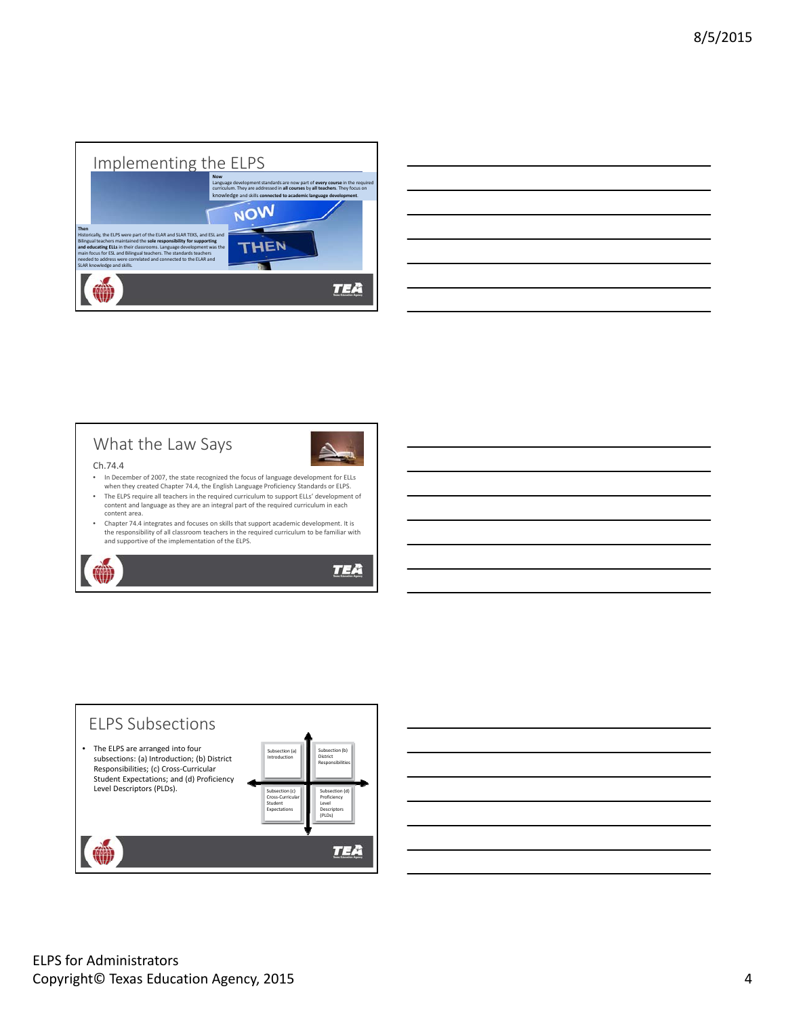

| <u> 1989 - Andrea Santa Andrea Andrea Andrea Andrea Andrea Andrea Andrea Andrea Andrea Andrea Andrea Andrea Andr</u> |        |
|----------------------------------------------------------------------------------------------------------------------|--------|
| <u> Andreas Andreas Andreas Andreas Andreas Andreas Andreas Andreas Andreas Andreas Andreas Andreas Andreas Andr</u> |        |
|                                                                                                                      |        |
|                                                                                                                      |        |
| <u> Andreas Andreas Andreas Andreas Andreas Andreas Andreas Andreas Andreas Andreas Andreas Andreas Andreas Andr</u> | ______ |
|                                                                                                                      |        |
|                                                                                                                      |        |

## What the Law Says



#### Ch.74.4

- In December of 2007, the state recognized the focus of language development for ELLs when they created Chapter 74.4, the English Language Proficiency Standards or ELPS.
- The ELPS require all teachers in the required curriculum to support ELLs' development of content and language as they are an integral part of the required curriculum in each content area.
- Chapter 74.4 integrates and focuses on skills that support academic development. It is the responsibility of all classroom teachers in the required curriculum to be familiar with and supportive of the implementation of the ELPS.





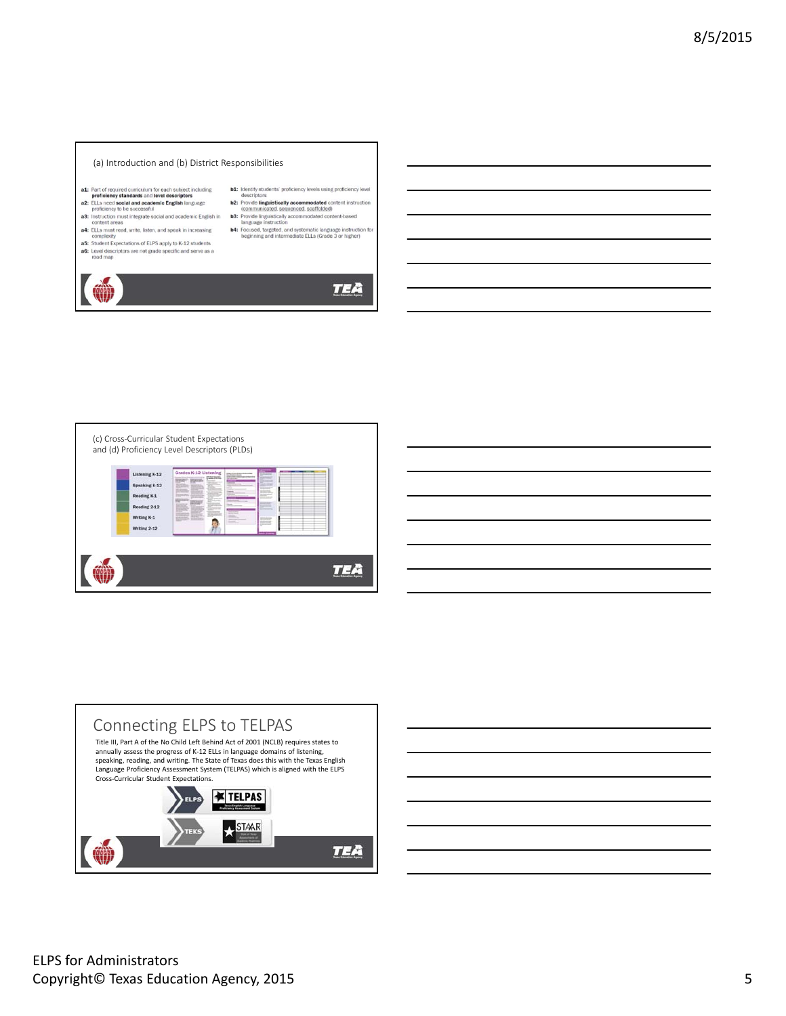

- 
- **a1:** Part of required curriculum for each subject including<br>problemey standards and level descriptors<br>**a2:** ELLs need social and academic English language<br>proficiency to be successful<br>**a3:** Instruction must integrate soci
- 
- content areas<br>a4: ELLs must read, write, listen, and speak in increasing<br>complexity<br>a5: Student Expectations of ELPS apply to K-12 students<br>a6: Level descriptors are not grade specific and serve as a<br>road map.
- 



**TEA** 





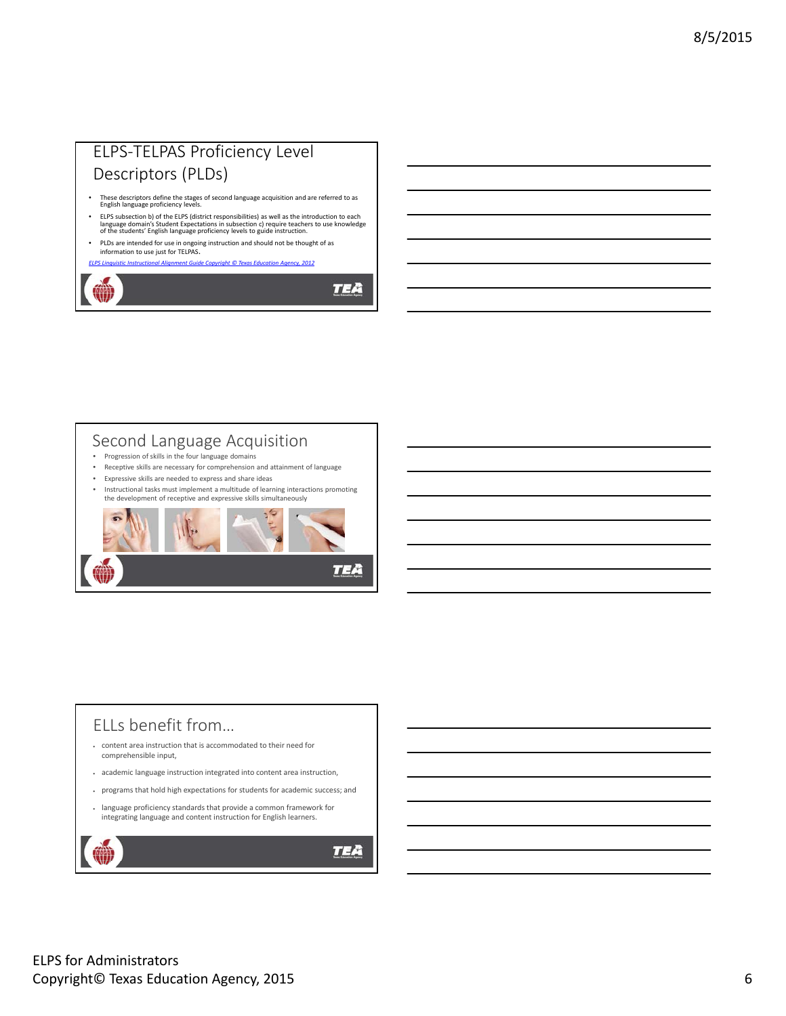## ELPS‐TELPAS Proficiency Level Descriptors (PLDs)

- These descriptors define the stages of second language acquisition and are referred to as English language proficiency levels.
- ELPS subsection b) of the ELPS (district responsibilities) as well as the introduction to each<br>language domain's Student Expectations in subsection c) require teachers to use knowledge<br>of the students' English language pro
- PLDs are intended for use in ongoing instruction and should not be thought of as information to use just for TELPAS.

*ELPS Linguistic Instructional Alignment Guide Copyright © Texas Education Agency, 2012*

**TEA** 

TEA

### Second Language Acquisition

- Progression of skills in the four language domains
- Receptive skills are necessary for comprehension and attainment of language
- Expressive skills are needed to express and share ideas
- Instructional tasks must implement a multitude of learning interactions promoting the development of receptive and expressive skills simultaneously



# ELLs benefit from…

- content area instruction that is accommodated to their need for comprehensible input,
- academic language instruction integrated into content area instruction,
- programs that hold high expectations for students for academic success; and
- language proficiency standards that provide a common framework for integrating language and content instruction for English learners.

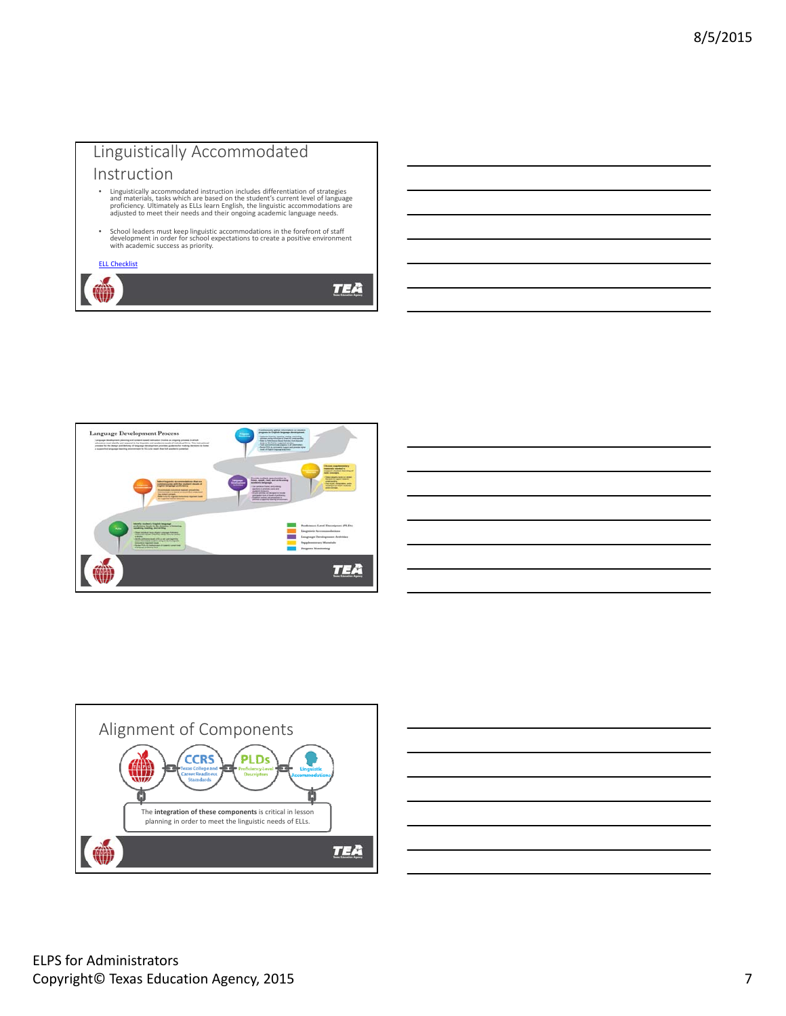





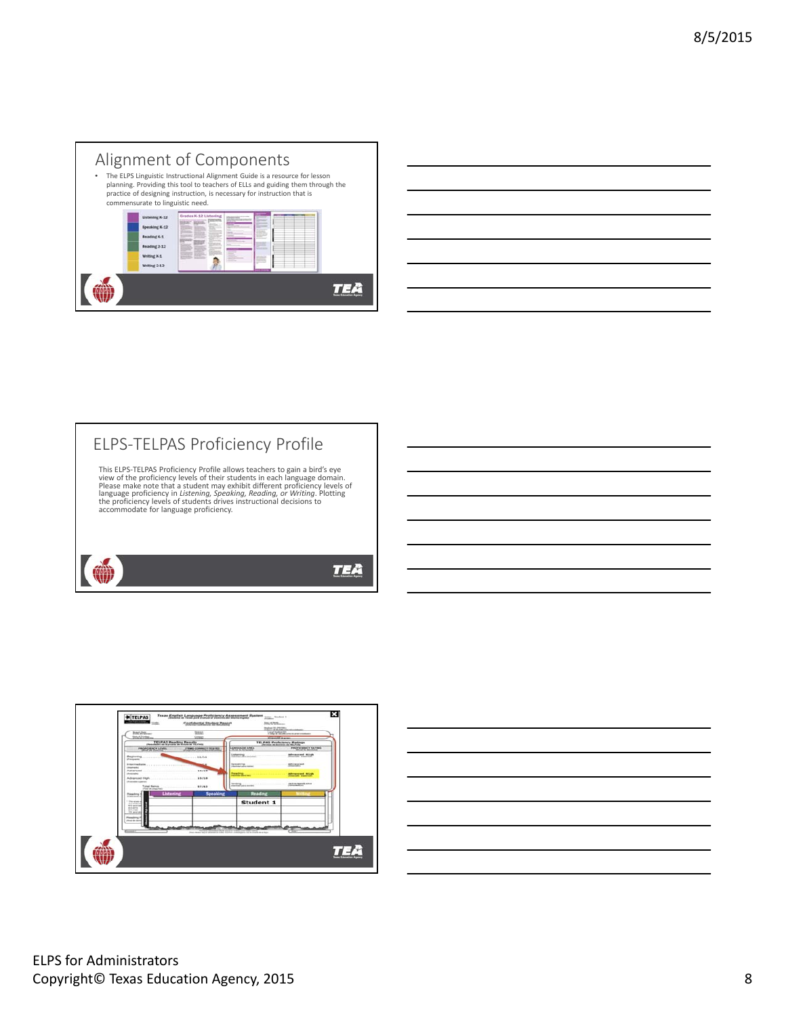### Alignment of Components

The ELPS Linguistic Instructional Alignment Guide is a resource for lesson<br>planning. Providing this tool to teachers of ELLs and guiding them through the<br>practice of designing instruction, is necessary for instruction that commensurate to linguistic need.

|    | Reading K-1<br>Reading 2-12<br>Writing K-1<br>Writing 2-12 | B<br><b>HELL</b><br>٠ | =<br>_<br>를- | cint,<br>----<br>. .<br>. .<br>---<br><b>CONTRACT</b><br>-- |                               |
|----|------------------------------------------------------------|-----------------------|--------------|-------------------------------------------------------------|-------------------------------|
| ₩₩ |                                                            |                       |              |                                                             | <b>Tenna Education Agency</b> |



## ELPS‐TELPAS Proficiency Profile This ELPS-TELPAS Proficiency Profile allows teachers to gain a bird's eye<br>view of the proficiency levels of their students in each language domain.<br>Please make note that a student may exhibit different proficiency levels o

language proficiency in *Listening, Speaking, Reading, or Writing.* Plotting<br>the proficiency levels of students drives instructional decisions to<br>accommodate for language proficiency.

## (∰) **TEA**



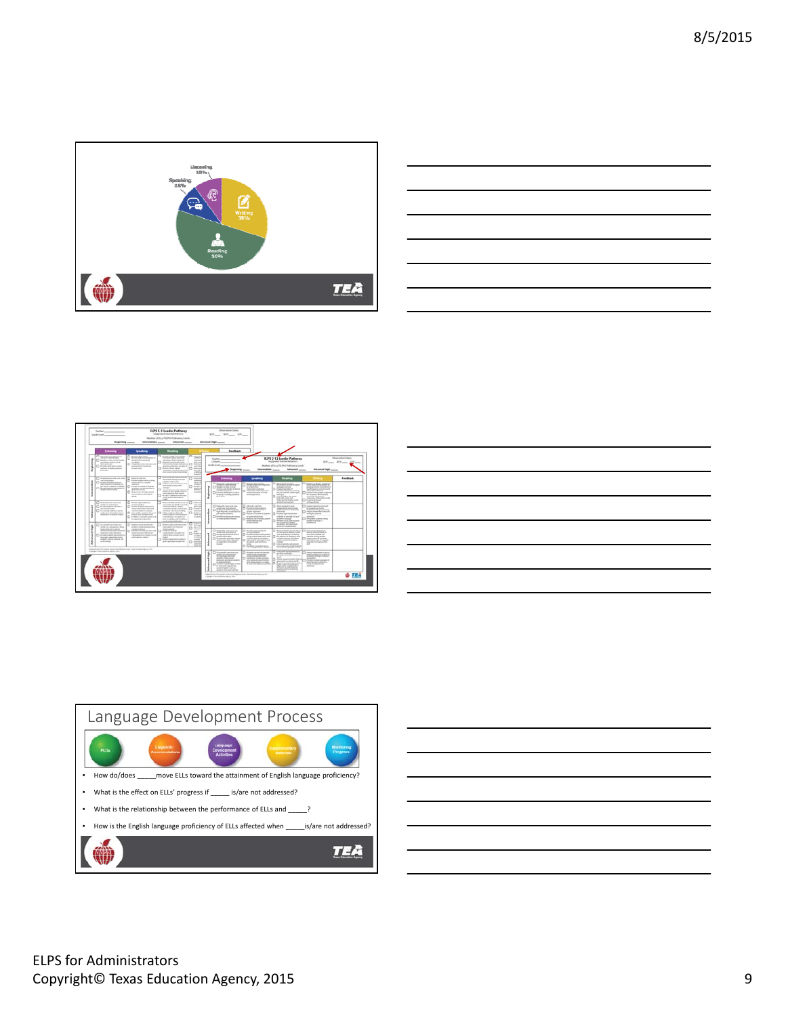



|                          | <b>Listense</b>                                                                                                                                                                                                     | يستشدما                                                                                                                                                                                                                                                                                          | <b>Teaching</b>                                                                                                                                                                                                                                                                                                                              |                                                                                                                                                      |    | <b>TextBook</b>                                                                                                                                                                                                                                                                                    |                                                                                                                                                                                                                                                                                           |                                                                                                                                                                                                                                                                                                                                                                                       |                                                                                                                                                                                                                                                                                                                                                                                                                                                                                                                                                                                                                                                                                                                                    |                                                   |
|--------------------------|---------------------------------------------------------------------------------------------------------------------------------------------------------------------------------------------------------------------|--------------------------------------------------------------------------------------------------------------------------------------------------------------------------------------------------------------------------------------------------------------------------------------------------|----------------------------------------------------------------------------------------------------------------------------------------------------------------------------------------------------------------------------------------------------------------------------------------------------------------------------------------------|------------------------------------------------------------------------------------------------------------------------------------------------------|----|----------------------------------------------------------------------------------------------------------------------------------------------------------------------------------------------------------------------------------------------------------------------------------------------------|-------------------------------------------------------------------------------------------------------------------------------------------------------------------------------------------------------------------------------------------------------------------------------------------|---------------------------------------------------------------------------------------------------------------------------------------------------------------------------------------------------------------------------------------------------------------------------------------------------------------------------------------------------------------------------------------|------------------------------------------------------------------------------------------------------------------------------------------------------------------------------------------------------------------------------------------------------------------------------------------------------------------------------------------------------------------------------------------------------------------------------------------------------------------------------------------------------------------------------------------------------------------------------------------------------------------------------------------------------------------------------------------------------------------------------------|---------------------------------------------------|
| ٠                        | O testi pratere<br>The classification conclusions<br>was about a policy and<br><b>Barriet Gallery</b><br>C Audio to 9 stars with<br>because in Enforcements<br><b>Romance</b>                                       | <b>D</b> textatane<br>ALCOHOL: MARCHESON<br>phoenibus metroded<br>constitution.<br>C montenablemento ed<br><b>Milled Market of American</b><br>and a state                                                                                                                                       | The company of the China of the<br>by them earling that story<br>the drag fluth and putter<br>Charles or lighted, dark-<br>colo concentra despito dicato dece<br>without publication and double<br>Cl. Andra Jude elim<br>councillos, cars alone operate<br>With resent service elements at                                                  | Chinese<br><b>USE ALLES</b><br><b>Service</b><br>and car<br>Cl. Holter<br>work when<br>$0 - 4$<br><b>Lotter Hills</b><br><b>LARS</b><br><b>Bally</b> |    | Town Basic<br>Contact:<br>linely Level<br>Beginning                                                                                                                                                                                                                                                | <b>Internation comments</b>                                                                                                                                                                                                                                                               | ELPS 3-13 Lander Pathway<br>Supported load as Balancoro<br>Number of ELLIPTI REC-Publishers Locals<br>Advanced                                                                                                                                                                                                                                                                        | Advanced High                                                                                                                                                                                                                                                                                                                                                                                                                                                                                                                                                                                                                                                                                                                      | <b>Hoursellon Falsic</b><br>ROLLAND MOVING STRING |
|                          | C chrometer and make solution<br>consultation.<br>C) copies product lessons<br>buildings and contact and<br>an institute and one states.<br>The change makers with all paintings<br><b>WASHINGTON</b>               | <b>Q</b> dealership<br>Audio trade with technicia<br>process checkers or produc-<br><b>CONTRACTOR</b><br>The change on company's making<br>expenses and personal dilege of<br>a lemans else<br>The changes of an order and security<br>being perfection and extend<br>more.                      | To Automatica advertising<br><b>Burning Business and and</b><br>suchter-diseasek<br>C class commentations and<br>culturate a successive<br>extent<br>FE ARM ARM IN HARVEST<br>program as their structure continuum.<br>and explorate in their popular<br>The control interference with com-<br>trust and changes in                          | <b>DAMAR</b><br>a state<br>show the<br><b>STATISTICS</b><br><b>CLASSIC</b><br>artists in<br><b>Summitted</b><br><b>Southern</b>                      |    | Linksen<br>[] - Univertally start-professor and<br>between the Contract English<br>C Fighter in a data concret<br><b>Farmer and shorter century as</b><br>and floor secretary<br>Printer falls due over a<br>between current as permanent<br>---                                                   | <b>Seventing</b><br>Statement's directly painted<br>Andraw crops could beginning<br>ar universitary.<br><b>PARAMENT AVENUES</b><br>discovered and an extent of the state<br>and construction of work.<br>And Carried In Arrivers                                                          | <b>Banding</b><br>T1 ribed shad is trade<br>processing and you arrivalent<br><b>STORE ENTIR</b><br>The construction of<br><b>EXPERIENCE AT FURNISHE</b><br>feet our couplant's ratedy coast<br>and super<br>Clinton shortfoot decorate<br>tests with clauds and<br><b>TAFA Newlac Explor condo</b>                                                                                    | 3 Howells published and charters<br>which they unknowledged at<br>manules of wind constraints of<br>to an Amount on competent seconds.<br>all small scheme.<br>LARGE LICENS AND LINES<br>An opposite Automobile<br>second-scale and second-scale<br>construction's material excited and married<br><b>Installation of color</b>                                                                                                                                                                                                                                                                                                                                                                                                    | Inches                                            |
| ۰<br>1                   | C motors to construct and<br>perfect years and perfective<br>Charles the brittery<br>an excess state and<br>Cl. chromady called a marsh.<br>wall a time does discuss as a<br>endorship at Automatic council.        | C) Australian experimental fun<br>and consumers in the<br>Chrysler makes with profits<br>antique company depends access using<br><b>CARLO ARRESTS FOUNDATION</b><br>(2) changes to expect the stand<br>percent and and blue long<br>C Collect countries prop and<br>to capacity pair to bracker. | $\Box$ Automatorial state and $\Box$ Autom<br>truck points and details to provide<br>that editority control.<br>construction allowses structures and<br>and allow class that it states.<br>The context and the context<br>bomball walked to chief and<br>consideration provided and<br>bott resultable and a wattery<br>and and of china the | <b>Holt and</b><br>and con-<br>$\Box$ $\sim$<br><b>Bandwich</b><br>o san<br>show does<br><b>STATISTICS</b><br><b>MATERIAL</b>                        |    | T-Page/R-car-foot top<br>partial main and participa-<br>Children shorter waves<br><b>Sali Experts condition and</b><br>and transfer analysis.<br>constraints.<br>The company of plans<br>an attractor approves that loss                                                                           | - chose for warrantee<br>u<br>Analda struth reliance<br>Series original change at<br><b>ANGLIA MONTINER</b><br>Concess of collect of dodgets!<br>branches, dal administration<br>an aggression and security<br>designers are of struck present<br>form and end and<br><b>Norman Amale</b> | <b>School Dear England</b><br>$\Box$ - Allows shade the factor<br><b>Information Continued by</b><br>additional temperature and advance<br>and account<br>C1-Northern American<br>will commit condicting and<br>maticals in acquires and and<br>conduction between their<br>changing mode, does support.<br>are no art more received                                                  | when white<br>Casherman Reserved and<br>Scaladed an India<br>independent as giving entire<br>Awayn Integrated whether<br>within he served.<br>committed colour present and<br>$\frac{1}{2} \left( \frac{1}{2} \right) \left( \frac{1}{2} \right) \left( \frac{1}{2} \right) \left( \frac{1}{2} \right) \left( \frac{1}{2} \right) \left( \frac{1}{2} \right) \left( \frac{1}{2} \right) \left( \frac{1}{2} \right) \left( \frac{1}{2} \right) \left( \frac{1}{2} \right) \left( \frac{1}{2} \right) \left( \frac{1}{2} \right) \left( \frac{1}{2} \right) \left( \frac{1}{2} \right) \left( \frac{1}{2} \right) \left( \frac{1}{2} \right) \left( \frac$<br>To the money of planty better<br>senate may hear of<br><b>Hardware</b> |                                                   |
| $\overline{\phantom{a}}$ | C contactor<br>presented and products where<br><b>Inspectable of Ludwig</b><br>the local dealership and also<br>manufacturing the control<br>buy and concentration and a<br>ingles today assets and<br>with a block | T3 Non-technologie<br>a data setelah katalog per<br><b>CARLO ANGELES</b><br>27 means dealers professional<br>www.communications.com<br>and contacts recipents.                                                                                                                                   | T2 minimizing miles for<br>statements of the first look<br>of the contract of the con-<br><b>D</b> -bearings<br>integrations in description of<br>cracker showed should a models.<br><b>CALL</b><br>T1-fran-based-knocks.f<br><b>And construct controller</b>                                                                                | ਦੀ ਸੂਚੀ<br>ALC: UNK<br>$0 + 1$<br><b>SALES</b><br>$-$<br>o m.<br>the contract<br><b>School</b><br>$-$<br><b>CI niseries</b><br>and the<br>$+11$      | ı  | C1-Holestein complex (com-<br>UNIVERSITY FOUND AND ADDRESS OF<br>$\Box$ - Across system was trucks<br>and a lateralist<br>Constituted materials moved<br>and or stood driver that where<br>in experience of the factor<br><b>SIGNATURE</b>                                                         | T1 Auction payment and a<br>And company's process.<br>district and state and constitute<br>arts creatives hands<br>confident detroit conductor.<br>class player crowings for use.<br>Fynank aut anthäuse<br>Childrenwarepool<br>models, Appendix of the states                            | controller, and conditions<br>distinctly instructuring and<br>T1-host-and-lines abusine hours<br>of Anti-scripts Minch available<br>close, and standard construction.<br>To the leader les Resume and<br>matterial manager of students<br>used in such and acuterns.<br>$-1$<br>College company for programmy to<br>expertise and provide during<br>with and marking special critical | O University has been<br>detective an internal charge-for-<br>serve them detailed and<br>newly selling single<br>Anglo personal national<br>mainly for old if a profit.<br>experience company office                                                                                                                                                                                                                                                                                                                                                                                                                                                                                                                               |                                                   |
|                          | Assembly of the party interest that the first three highest and in<br>Concentrate In Concentration should depress a state of                                                                                        |                                                                                                                                                                                                                                                                                                  |                                                                                                                                                                                                                                                                                                                                              |                                                                                                                                                      | 4. | The Manhood Contract Contract<br>sense com perceptions.<br><b>What make make on</b><br>Armenica, Estate Architect<br>designed in and determined by the<br>to and startings."<br>The date half also specifically<br>to that actual Australian<br>sented from the refiner<br>degrees durance advance | C) dustrial contemporaria<br>printed with the designation<br>arty contain from of-<br><b>CARDINAL CATARA AVAILABLE</b><br>and strategy and pay Atlantics<br>AND THREE ORDER OF A SAFEKEEP<br>all security and in policies constraints                                                     | the price survey do not to<br>and the court of the<br><b>Backbook of the Report of</b><br>-<br>Askall meeting state top<br>good ways to their world.<br>foundation benefits and shall require<br>fully color activities as<br>ATA AND IN HARD FOUNDATION<br>provide a late and departs.                                                                                               | Application and the control<br>resolution and the fundation<br>completed and a change<br><b>BOLSVILLE</b><br>the characteristic processing to the<br>went than speed as their thur at<br>only shapes and<br>ALCOHOL:                                                                                                                                                                                                                                                                                                                                                                                                                                                                                                               |                                                   |





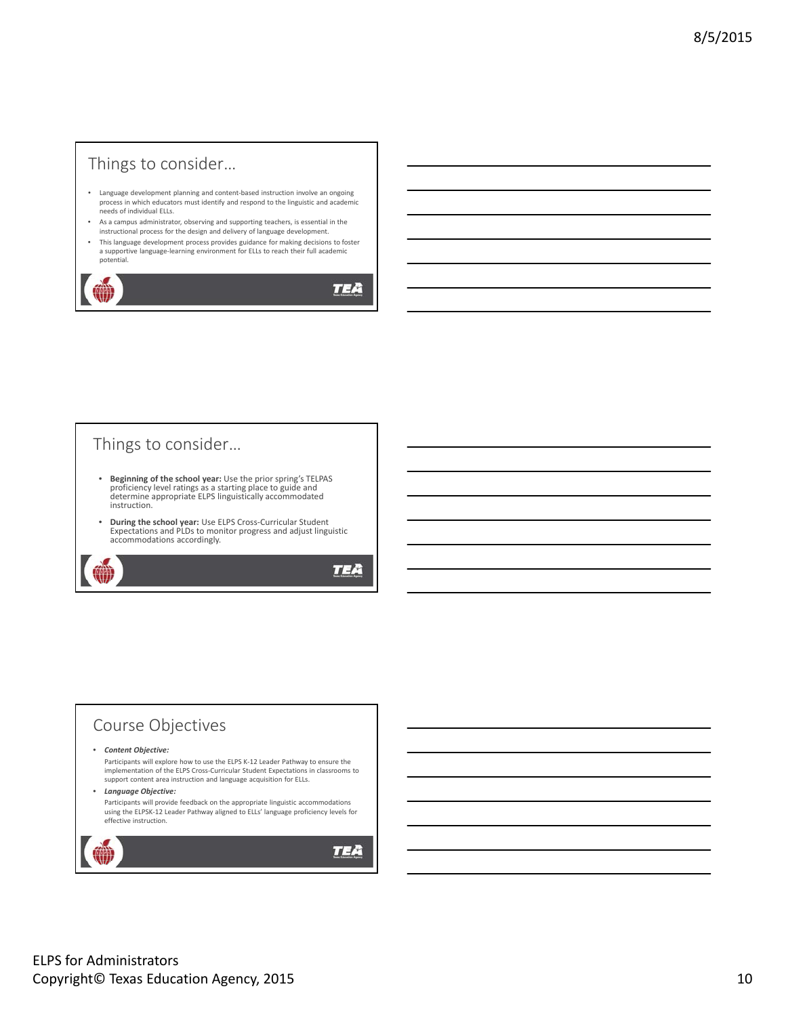### Things to consider…

- Language development planning and content‐based instruction involve an ongoing process in which educators must identify and respond to the linguistic and academic needs of individual ELLs.
- As a campus administrator, observing and supporting teachers, is essential in the instructional process for the design and delivery of language development.
- This language development process provides guidance for making decisions to foster a supportive language-learning environment for ELLs to reach their full academic potential.

**TEA** 

### Things to consider…

- **Beginning of the school year:** Use the prior spring's TELPAS proficiency level ratings as a starting place to guide and determine appropriate ELPS linguistically accommodated instruction.
- **During the school year:** Use ELPS Cross‐Curricular Student Expectations and PLDs to monitor progress and adjust linguistic accommodations accordingly.

TEA

#### Course Objectives • *Content Objective:* Participants will explore how to use the ELPS K‐12 Leader Pathway to ensure the implementation of the ELPS Cross‐Curricular Student Expectations in classrooms to support content area instruction and language acquisition for ELLs. • *Language Objective:* Participants will provide feedback on the appropriate linguistic accommodations using the ELPSK‐12 Leader Pathway aligned to ELLs' language proficiency levels for effective instruction.TEA